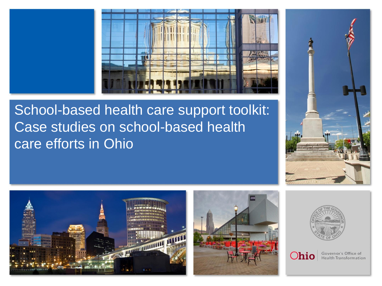

# School-based health care support toolkit: Case studies on school-based health care efforts in Ohio











Governor's Office of **Health Transformation**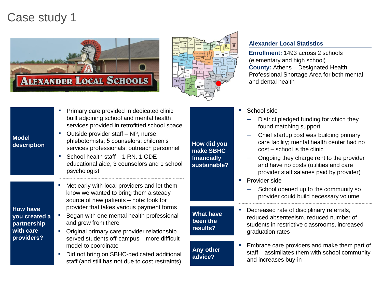## Case study 1





#### **Alexander Local Statistics**

**Enrollment:** 1493 across 2 schools (elementary and high school) **County:** Athens – Designated Health Professional Shortage Area for both mental and dental health

| <b>Model</b><br>description                                                |                                   | Primary care provided in dedicated clinic<br>built adjoining school and mental health<br>services provided in retrofitted school space<br>Outside provider staff - NP, nurse,<br>phlebotomists; 5 counselors; children's<br>services professionals; outreach personnel<br>School health staff - 1 RN, 1 ODE<br>educational aide, 3 counselors and 1 school<br>psychologist<br>Met early with local providers and let them | How did you<br>make SBHC<br>financially<br>sustainable?          | School side<br>District pledged funding for which they<br>found matching support<br>Chief startup cost was building primary<br>care facility; mental health center had no<br>cost – school is the clinic<br>Ongoing they charge rent to the provider<br>and have no costs (utilities and care<br>provider staff salaries paid by provider)<br>Provider side         |
|----------------------------------------------------------------------------|-----------------------------------|---------------------------------------------------------------------------------------------------------------------------------------------------------------------------------------------------------------------------------------------------------------------------------------------------------------------------------------------------------------------------------------------------------------------------|------------------------------------------------------------------|---------------------------------------------------------------------------------------------------------------------------------------------------------------------------------------------------------------------------------------------------------------------------------------------------------------------------------------------------------------------|
| <b>How have</b><br>you created a<br>partnership<br>with care<br>providers? | ×.<br>$\mathcal{M}_{\mathcal{A}}$ | know we wanted to bring them a steady<br>source of new patients - note: look for<br>provider that takes various payment forms<br>Began with one mental health professional<br>and grew from there<br>Original primary care provider relationship<br>served students off-campus - more difficult<br>model to coordinate<br>Did not bring on SBHC-dedicated additional<br>staff (and still has not due to cost restraints)  | <b>What have</b><br>been the<br>results?<br>Any other<br>advice? | School opened up to the community so<br>provider could build necessary volume<br>Decreased rate of disciplinary referrals,<br>reduced absenteeism, reduced number of<br>students in restrictive classrooms, increased<br>graduation rates<br>Embrace care providers and make them part of<br>staff – assimilates them with school community<br>and increases buy-in |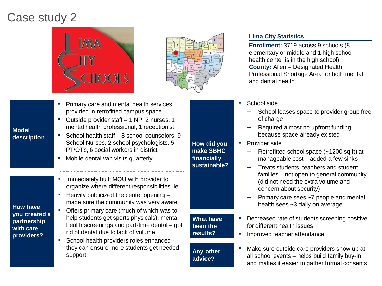## Case study 2





#### **• Primary care and mental health services** provided in retrofitted campus space ▪ Outside provider staff – 1 NP, 2 nurses, 1 mental health professional, 1 receptionist ■ School health staff – 8 school counselors, 9 School Nurses, 2 school psychologists, 5 PT/OTs, 6 social workers in district ■ Mobile dental van visits quarterly **How did you make SBHC financially sustainable?**

**Any other advice?**

**.** Immediately built MOU with provider to organize where different responsibilities lie

■ Heavily publicized the center opening – made sure the community was very aware

**How have you created a partnership with care providers?**

**Model description**

- Offers primary care (much of which was to help students get sports physicals), mental health screenings and part-time dental – got rid of dental due to lack of volume
- School health providers roles enhanced they can ensure more students get needed support

**Lima City Statistics**

**Enrollment:** 3719 across 9 schools (8 elementary or middle and 1 high school – health center is in the high school) **County:** Allen – Designated Health Professional Shortage Area for both mental and dental health

- School side
	- School leases space to provider group free of charge
	- Required almost no upfront funding because space already existed
- Provider side
	- Retrofitted school space (~1200 sq ft) at manageable cost – added a few sinks
	- Treats students, teachers and student families – not open to general community (did not need the extra volume and concern about security)
	- Primary care sees ~7 people and mental health sees ~3 daily on average
- **What have been the results?** Decreased rate of students screening positive for different health issues
	- Improved teacher attendance

Make sure outside care providers show up at all school events – helps build family buy-in and makes it easier to gather formal consents